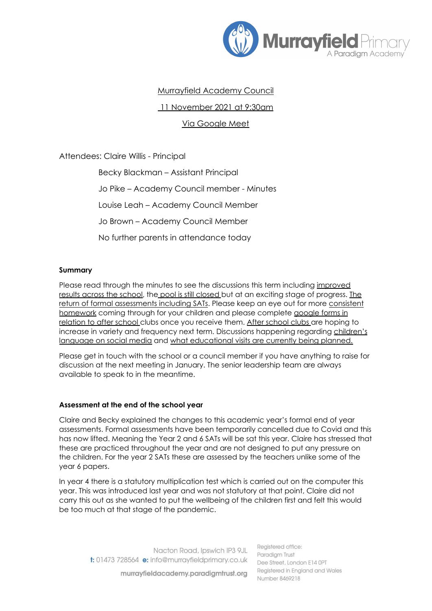

# Murrayfield Academy Council

11 November 2021 at 9:30am

Via Google Meet

Attendees: Claire Willis - Principal

Becky Blackman – Assistant Principal Jo Pike – Academy Council member - Minutes Louise Leah – Academy Council Member Jo Brown – Academy Council Member No further parents in attendance today

## **Summary**

Please read through the minutes to see the discussions this term including improved results across the school, the pool is still closed but at an exciting stage of progress. The return of formal assessments including SATs. Please keep an eye out for more consistent homework coming through for your children and please complete google forms in relation to after school clubs once you receive them. After school clubs are hoping to increase in variety and frequency next term. Discussions happening regarding children's language on social media and what educational visits are currently being planned.

Please get in touch with the school or a council member if you have anything to raise for discussion at the next meeting in January. The senior leadership team are always available to speak to in the meantime.

#### **Assessment at the end of the school year**

Claire and Becky explained the changes to this academic year's formal end of year assessments. Formal assessments have been temporarily cancelled due to Covid and this has now lifted. Meaning the Year 2 and 6 SATs will be sat this year. Claire has stressed that these are practiced throughout the year and are not designed to put any pressure on the children. For the year 2 SATs these are assessed by the teachers unlike some of the year 6 papers.

In year 4 there is a statutory multiplication test which is carried out on the computer this year. This was introduced last year and was not statutory at that point, Claire did not carry this out as she wanted to put the wellbeing of the children first and felt this would be too much at that stage of the pandemic.

Nacton Road, Ipswich IP3 9JL t: 01473 728564 e: info@murrayfieldprimary.co.uk

murrayfieldacademy.paradigmtrust.org

Reaistered office: Paradiam Trust Dee Street, London E14 OPT Registered in England and Wales Number 8469218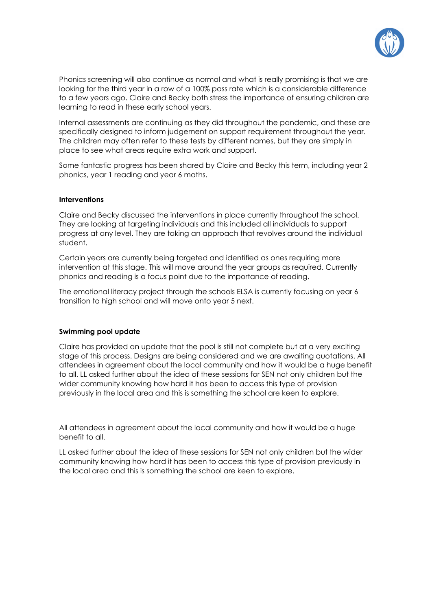

Phonics screening will also continue as normal and what is really promising is that we are looking for the third year in a row of a 100% pass rate which is a considerable difference to a few years ago. Claire and Becky both stress the importance of ensuring children are learning to read in these early school years.

Internal assessments are continuing as they did throughout the pandemic, and these are specifically designed to inform judgement on support requirement throughout the year. The children may often refer to these tests by different names, but they are simply in place to see what areas require extra work and support.

Some fantastic progress has been shared by Claire and Becky this term, including year 2 phonics, year 1 reading and year 6 maths.

#### **Interventions**

Claire and Becky discussed the interventions in place currently throughout the school. They are looking at targeting individuals and this included all individuals to support progress at any level. They are taking an approach that revolves around the individual student.

Certain years are currently being targeted and identified as ones requiring more intervention at this stage. This will move around the year groups as required. Currently phonics and reading is a focus point due to the importance of reading.

The emotional literacy project through the schools ELSA is currently focusing on year 6 transition to high school and will move onto year 5 next.

#### **Swimming pool update**

Claire has provided an update that the pool is still not complete but at a very exciting stage of this process. Designs are being considered and we are awaiting quotations. All attendees in agreement about the local community and how it would be a huge benefit to all. LL asked further about the idea of these sessions for SEN not only children but the wider community knowing how hard it has been to access this type of provision previously in the local area and this is something the school are keen to explore.

All attendees in agreement about the local community and how it would be a huge benefit to all.

LL asked further about the idea of these sessions for SEN not only children but the wider community knowing how hard it has been to access this type of provision previously in the local area and this is something the school are keen to explore.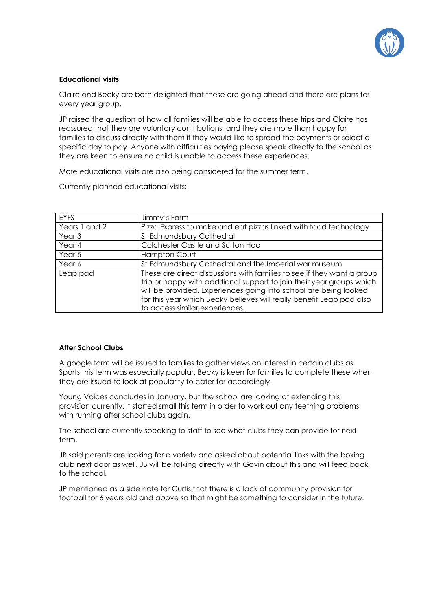

## **Educational visits**

Claire and Becky are both delighted that these are going ahead and there are plans for every year group.

JP raised the question of how all families will be able to access these trips and Claire has reassured that they are voluntary contributions, and they are more than happy for families to discuss directly with them if they would like to spread the payments or select a specific day to pay. Anyone with difficulties paying please speak directly to the school as they are keen to ensure no child is unable to access these experiences.

More educational visits are also being considered for the summer term.

Currently planned educational visits:

| <b>EYFS</b>       | Jimmy's Farm                                                                                                                                                                                                                                                                                                                  |
|-------------------|-------------------------------------------------------------------------------------------------------------------------------------------------------------------------------------------------------------------------------------------------------------------------------------------------------------------------------|
| Years 1 and 2     | Pizza Express to make and eat pizzas linked with food technology                                                                                                                                                                                                                                                              |
| Year <sub>3</sub> | St Edmundsbury Cathedral                                                                                                                                                                                                                                                                                                      |
| Year 4            | Colchester Castle and Sutton Hoo                                                                                                                                                                                                                                                                                              |
| Year 5            | <b>Hampton Court</b>                                                                                                                                                                                                                                                                                                          |
| Year 6            | St Edmundsbury Cathedral and the Imperial war museum                                                                                                                                                                                                                                                                          |
| Leap pad          | These are direct discussions with families to see if they want a group<br>trip or happy with additional support to join their year groups which<br>will be provided. Experiences going into school are being looked<br>for this year which Becky believes will really benefit Leap pad also<br>to access similar experiences. |

## **After School Clubs**

A google form will be issued to families to gather views on interest in certain clubs as Sports this term was especially popular. Becky is keen for families to complete these when they are issued to look at popularity to cater for accordingly.

Young Voices concludes in January, but the school are looking at extending this provision currently. It started small this term in order to work out any teething problems with running after school clubs again.

The school are currently speaking to staff to see what clubs they can provide for next term.

JB said parents are looking for a variety and asked about potential links with the boxing club next door as well. JB will be talking directly with Gavin about this and will feed back to the school.

JP mentioned as a side note for Curtis that there is a lack of community provision for football for 6 years old and above so that might be something to consider in the future.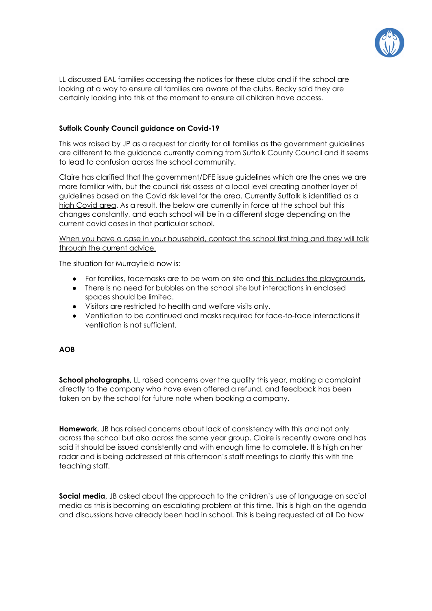

LL discussed EAL families accessing the notices for these clubs and if the school are looking at a way to ensure all families are aware of the clubs. Becky said they are certainly looking into this at the moment to ensure all children have access.

## **Suffolk County Council guidance on Covid-19**

This was raised by JP as a request for clarity for all families as the government guidelines are different to the guidance currently coming from Suffolk County Council and it seems to lead to confusion across the school community.

Claire has clarified that the government/DFE issue guidelines which are the ones we are more familiar with, but the council risk assess at a local level creating another layer of guidelines based on the Covid risk level for the area. Currently Suffolk is identified as a high Covid area. As a result, the below are currently in force at the school but this changes constantly, and each school will be in a different stage depending on the current covid cases in that particular school.

### When you have a case in your household, contact the school first thing and they will talk through the current advice.

The situation for Murrayfield now is:

- For families, facemasks are to be worn on site and this includes the playgrounds.
- There is no need for bubbles on the school site but interactions in enclosed spaces should be limited.
- Visitors are restricted to health and welfare visits only.
- Ventilation to be continued and masks required for face-to-face interactions if ventilation is not sufficient.

#### **AOB**

**School photographs,** LL raised concerns over the quality this year, making a complaint directly to the company who have even offered a refund, and feedback has been taken on by the school for future note when booking a company.

**Homework**, JB has raised concerns about lack of consistency with this and not only across the school but also across the same year group. Claire is recently aware and has said it should be issued consistently and with enough time to complete. It is high on her radar and is being addressed at this afternoon's staff meetings to clarify this with the teaching staff.

**Social media,** JB asked about the approach to the children's use of language on social media as this is becoming an escalating problem at this time. This is high on the agenda and discussions have already been had in school. This is being requested at all Do Now